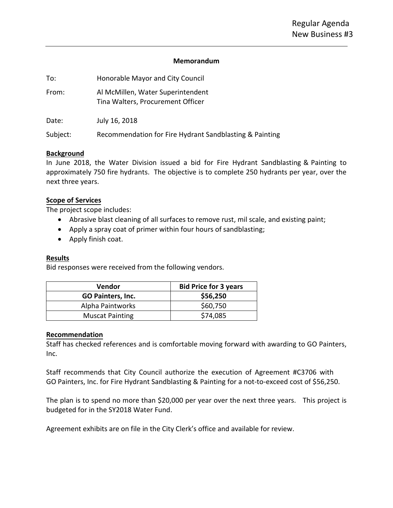#### **Memorandum**

| To:      | Honorable Mayor and City Council                                       |
|----------|------------------------------------------------------------------------|
| From:    | Al McMillen, Water Superintendent<br>Tina Walters, Procurement Officer |
| Date:    | July 16, 2018                                                          |
| Subject: | Recommendation for Fire Hydrant Sandblasting & Painting                |

### **Background**

In June 2018, the Water Division issued a bid for Fire Hydrant Sandblasting & Painting to approximately 750 fire hydrants. The objective is to complete 250 hydrants per year, over the next three years.

### **Scope of Services**

The project scope includes:

- Abrasive blast cleaning of all surfaces to remove rust, mil scale, and existing paint;
- Apply a spray coat of primer within four hours of sandblasting;
- Apply finish coat.

### **Results**

Bid responses were received from the following vendors.

| <b>Vendor</b>            | <b>Bid Price for 3 years</b> |
|--------------------------|------------------------------|
| <b>GO Painters, Inc.</b> | \$56,250                     |
| Alpha Paintworks         | \$60,750                     |
| <b>Muscat Painting</b>   | \$74,085                     |

### **Recommendation**

Staff has checked references and is comfortable moving forward with awarding to GO Painters, Inc.

Staff recommends that City Council authorize the execution of Agreement #C3706 with GO Painters, Inc. for Fire Hydrant Sandblasting & Painting for a not-to-exceed cost of \$56,250.

The plan is to spend no more than \$20,000 per year over the next three years. This project is budgeted for in the SY2018 Water Fund.

Agreement exhibits are on file in the City Clerk's office and available for review.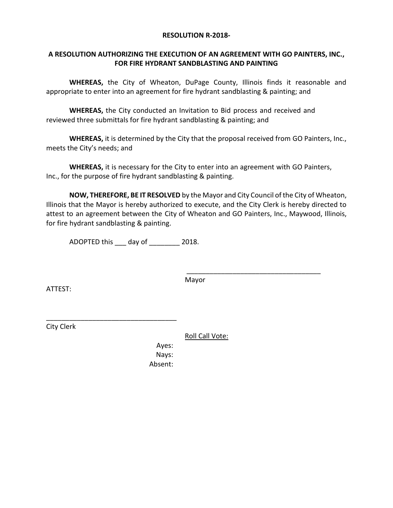#### **RESOLUTION R-2018-**

### **A RESOLUTION AUTHORIZING THE EXECUTION OF AN AGREEMENT WITH GO PAINTERS, INC., FOR FIRE HYDRANT SANDBLASTING AND PAINTING**

**WHEREAS,** the City of Wheaton, DuPage County, Illinois finds it reasonable and appropriate to enter into an agreement for fire hydrant sandblasting & painting; and

**WHEREAS,** the City conducted an Invitation to Bid process and received and reviewed three submittals for fire hydrant sandblasting & painting; and

**WHEREAS,** it is determined by the City that the proposal received from GO Painters, Inc., meets the City's needs; and

**WHEREAS,** it is necessary for the City to enter into an agreement with GO Painters, Inc., for the purpose of fire hydrant sandblasting & painting.

**NOW, THEREFORE, BE IT RESOLVED** by the Mayor and City Council of the City of Wheaton, Illinois that the Mayor is hereby authorized to execute, and the City Clerk is hereby directed to attest to an agreement between the City of Wheaton and GO Painters, Inc., Maywood, Illinois, for fire hydrant sandblasting & painting.

ADOPTED this \_\_\_ day of \_\_\_\_\_\_\_\_ 2018.

\_\_\_\_\_\_\_\_\_\_\_\_\_\_\_\_\_\_\_\_\_\_\_\_\_\_\_\_\_\_\_\_\_\_

Mayor

\_\_\_\_\_\_\_\_\_\_\_\_\_\_\_\_\_\_\_\_\_\_\_\_\_\_\_\_\_\_\_\_\_\_\_

ATTEST:

City Clerk

Roll Call Vote:

Ayes: Nays: Absent: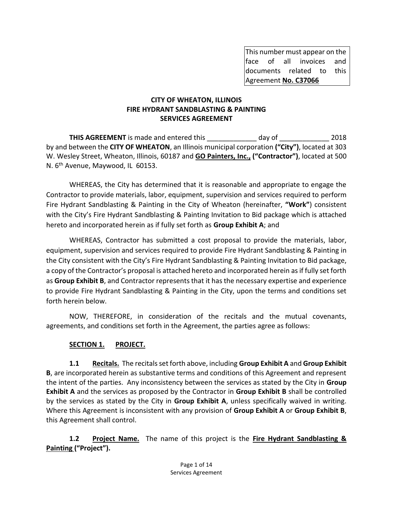This number must appear on the face of all invoices and documents related to this Agreement **No. C37066**

### **CITY OF WHEATON, ILLINOIS FIRE HYDRANT SANDBLASTING & PAINTING SERVICES AGREEMENT**

**THIS AGREEMENT** is made and entered this day of  $\qquad$  2018 by and between the **CITY OF WHEATON**, an Illinois municipal corporation **("City")**, located at 303 W. Wesley Street, Wheaton, Illinois, 60187 and **GO Painters, Inc., ("Contractor")**, located at 500 N. 6th Avenue, Maywood, IL 60153.

WHEREAS, the City has determined that it is reasonable and appropriate to engage the Contractor to provide materials, labor, equipment, supervision and services required to perform Fire Hydrant Sandblasting & Painting in the City of Wheaton (hereinafter, **"Work"**) consistent with the City's Fire Hydrant Sandblasting & Painting Invitation to Bid package which is attached hereto and incorporated herein as if fully set forth as **Group Exhibit A**; and

WHEREAS, Contractor has submitted a cost proposal to provide the materials, labor, equipment, supervision and services required to provide Fire Hydrant Sandblasting & Painting in the City consistent with the City's Fire Hydrant Sandblasting & Painting Invitation to Bid package, a copy of the Contractor's proposal is attached hereto and incorporated herein as if fully set forth as **Group Exhibit B**, and Contractor represents that it has the necessary expertise and experience to provide Fire Hydrant Sandblasting & Painting in the City, upon the terms and conditions set forth herein below.

NOW, THEREFORE, in consideration of the recitals and the mutual covenants, agreements, and conditions set forth in the Agreement, the parties agree as follows:

## **SECTION 1. PROJECT.**

**1.1 Recitals.** The recitals set forth above, including **Group Exhibit A** and **Group Exhibit B**, are incorporated herein as substantive terms and conditions of this Agreement and represent the intent of the parties.Any inconsistency between the services as stated by the City in **Group Exhibit A** and the services as proposed by the Contractor in **Group Exhibit B** shall be controlled by the services as stated by the City in **Group Exhibit A**, unless specifically waived in writing. Where this Agreement is inconsistent with any provision of **Group Exhibit A** or **Group Exhibit B**, this Agreement shall control.

**1.2 Project Name.** The name of this project is the **Fire Hydrant Sandblasting & Painting ("Project").**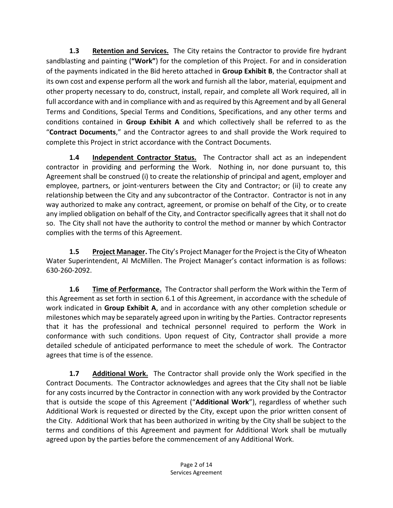**1.3 Retention and Services.** The City retains the Contractor to provide fire hydrant sandblasting and painting (**"Work"**) for the completion of this Project. For and in consideration of the payments indicated in the Bid hereto attached in **Group Exhibit B**, the Contractor shall at its own cost and expense perform all the work and furnish all the labor, material, equipment and other property necessary to do, construct, install, repair, and complete all Work required, all in full accordance with and in compliance with and as required by this Agreement and by all General Terms and Conditions, Special Terms and Conditions, Specifications, and any other terms and conditions contained in **Group Exhibit A** and which collectively shall be referred to as the "**Contract Documents**," and the Contractor agrees to and shall provide the Work required to complete this Project in strict accordance with the Contract Documents.

**1.4 Independent Contractor Status.** The Contractor shall act as an independent contractor in providing and performing the Work. Nothing in, nor done pursuant to, this Agreement shall be construed (i) to create the relationship of principal and agent, employer and employee, partners, or joint-venturers between the City and Contractor; or (ii) to create any relationship between the City and any subcontractor of the Contractor. Contractor is not in any way authorized to make any contract, agreement, or promise on behalf of the City, or to create any implied obligation on behalf of the City, and Contractor specifically agrees that it shall not do so. The City shall not have the authority to control the method or manner by which Contractor complies with the terms of this Agreement.

**1.5 Project Manager.** The City's Project Manager for the Project is the City of Wheaton Water Superintendent, Al McMillen. The Project Manager's contact information is as follows: 630-260-2092.

**1.6 Time of Performance.** The Contractor shall perform the Work within the Term of this Agreement as set forth in section 6.1 of this Agreement, in accordance with the schedule of work indicated in **Group Exhibit A**, and in accordance with any other completion schedule or milestones which may be separately agreed upon in writing by the Parties. Contractor represents that it has the professional and technical personnel required to perform the Work in conformance with such conditions. Upon request of City, Contractor shall provide a more detailed schedule of anticipated performance to meet the schedule of work. The Contractor agrees that time is of the essence.

**1.7 Additional Work.** The Contractor shall provide only the Work specified in the Contract Documents. The Contractor acknowledges and agrees that the City shall not be liable for any costs incurred by the Contractor in connection with any work provided by the Contractor that is outside the scope of this Agreement ("**Additional Work**"), regardless of whether such Additional Work is requested or directed by the City, except upon the prior written consent of the City. Additional Work that has been authorized in writing by the City shall be subject to the terms and conditions of this Agreement and payment for Additional Work shall be mutually agreed upon by the parties before the commencement of any Additional Work.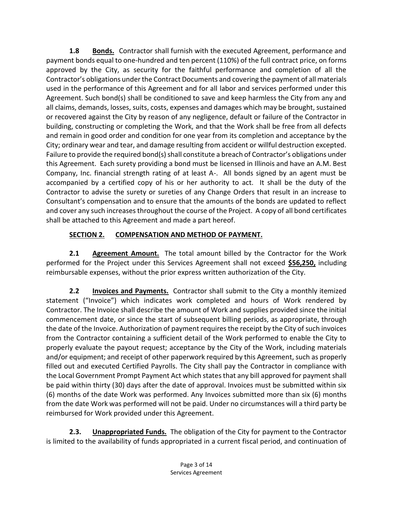**1.8 Bonds.** Contractor shall furnish with the executed Agreement, performance and payment bonds equal to one-hundred and ten percent (110%) of the full contract price, on forms approved by the City, as security for the faithful performance and completion of all the Contractor's obligations under the Contract Documents and covering the payment of all materials used in the performance of this Agreement and for all labor and services performed under this Agreement. Such bond(s) shall be conditioned to save and keep harmless the City from any and all claims, demands, losses, suits, costs, expenses and damages which may be brought, sustained or recovered against the City by reason of any negligence, default or failure of the Contractor in building, constructing or completing the Work, and that the Work shall be free from all defects and remain in good order and condition for one year from its completion and acceptance by the City; ordinary wear and tear, and damage resulting from accident or willful destruction excepted. Failure to provide the required bond(s) shall constitute a breach of Contractor's obligations under this Agreement. Each surety providing a bond must be licensed in Illinois and have an A.M. Best Company, Inc. financial strength rating of at least A-. All bonds signed by an agent must be accompanied by a certified copy of his or her authority to act. It shall be the duty of the Contractor to advise the surety or sureties of any Change Orders that result in an increase to Consultant's compensation and to ensure that the amounts of the bonds are updated to reflect and cover any such increases throughout the course of the Project. A copy of all bond certificates shall be attached to this Agreement and made a part hereof.

# **SECTION 2. COMPENSATION AND METHOD OF PAYMENT.**

**2.1 Agreement Amount.** The total amount billed by the Contractor for the Work performed for the Project under this Services Agreement shall not exceed **\$56,250,** including reimbursable expenses, without the prior express written authorization of the City.

**2.2 Invoices and Payments.** Contractor shall submit to the City a monthly itemized statement ("Invoice") which indicates work completed and hours of Work rendered by Contractor. The Invoice shall describe the amount of Work and supplies provided since the initial commencement date, or since the start of subsequent billing periods, as appropriate, through the date of the Invoice. Authorization of payment requires the receipt by the City of such invoices from the Contractor containing a sufficient detail of the Work performed to enable the City to properly evaluate the payout request; acceptance by the City of the Work, including materials and/or equipment; and receipt of other paperwork required by this Agreement, such as properly filled out and executed Certified Payrolls. The City shall pay the Contractor in compliance with the Local Government Prompt Payment Act which states that any bill approved for payment shall be paid within thirty (30) days after the date of approval. Invoices must be submitted within six (6) months of the date Work was performed. Any Invoices submitted more than six (6) months from the date Work was performed will not be paid. Under no circumstances will a third party be reimbursed for Work provided under this Agreement.

**2.3. Unappropriated Funds.** The obligation of the City for payment to the Contractor is limited to the availability of funds appropriated in a current fiscal period, and continuation of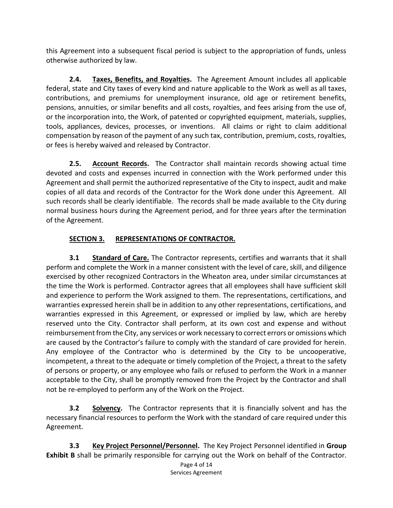this Agreement into a subsequent fiscal period is subject to the appropriation of funds, unless otherwise authorized by law.

**2.4. Taxes, Benefits, and Royalties.** The Agreement Amount includes all applicable federal, state and City taxes of every kind and nature applicable to the Work as well as all taxes, contributions, and premiums for unemployment insurance, old age or retirement benefits, pensions, annuities, or similar benefits and all costs, royalties, and fees arising from the use of, or the incorporation into, the Work, of patented or copyrighted equipment, materials, supplies, tools, appliances, devices, processes, or inventions. All claims or right to claim additional compensation by reason of the payment of any such tax, contribution, premium, costs, royalties, or fees is hereby waived and released by Contractor.

**2.5. Account Records.** The Contractor shall maintain records showing actual time devoted and costs and expenses incurred in connection with the Work performed under this Agreement and shall permit the authorized representative of the City to inspect, audit and make copies of all data and records of the Contractor for the Work done under this Agreement. All such records shall be clearly identifiable. The records shall be made available to the City during normal business hours during the Agreement period, and for three years after the termination of the Agreement.

# **SECTION 3. REPRESENTATIONS OF CONTRACTOR.**

**3.1 Standard of Care.** The Contractor represents, certifies and warrants that it shall perform and complete the Work in a manner consistent with the level of care, skill, and diligence exercised by other recognized Contractors in the Wheaton area, under similar circumstances at the time the Work is performed. Contractor agrees that all employees shall have sufficient skill and experience to perform the Work assigned to them. The representations, certifications, and warranties expressed herein shall be in addition to any other representations, certifications, and warranties expressed in this Agreement, or expressed or implied by law, which are hereby reserved unto the City. Contractor shall perform, at its own cost and expense and without reimbursement from the City, any services or work necessary to correct errors or omissions which are caused by the Contractor's failure to comply with the standard of care provided for herein. Any employee of the Contractor who is determined by the City to be uncooperative, incompetent, a threat to the adequate or timely completion of the Project, a threat to the safety of persons or property, or any employee who fails or refused to perform the Work in a manner acceptable to the City, shall be promptly removed from the Project by the Contractor and shall not be re-employed to perform any of the Work on the Project.

**3.2 Solvency.** The Contractor represents that it is financially solvent and has the necessary financial resources to perform the Work with the standard of care required under this Agreement.

**3.3 Key Project Personnel/Personnel.** The Key Project Personnel identified in **Group Exhibit B** shall be primarily responsible for carrying out the Work on behalf of the Contractor.

Page 4 of 14 Services Agreement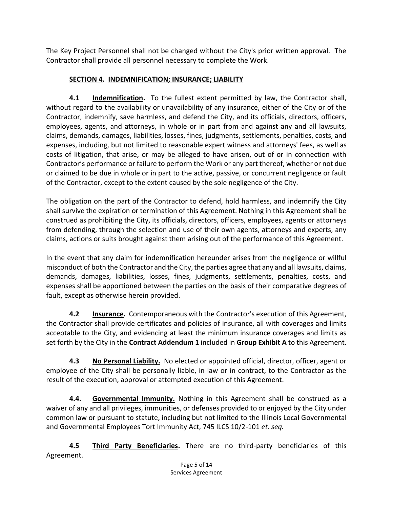The Key Project Personnel shall not be changed without the City's prior written approval. The Contractor shall provide all personnel necessary to complete the Work.

# **SECTION 4. INDEMNIFICATION; INSURANCE; LIABILITY**

**4.1 Indemnification.** To the fullest extent permitted by law, the Contractor shall, without regard to the availability or unavailability of any insurance, either of the City or of the Contractor, indemnify, save harmless, and defend the City, and its officials, directors, officers, employees, agents, and attorneys, in whole or in part from and against any and all lawsuits, claims, demands, damages, liabilities, losses, fines, judgments, settlements, penalties, costs, and expenses, including, but not limited to reasonable expert witness and attorneys' fees, as well as costs of litigation, that arise, or may be alleged to have arisen, out of or in connection with Contractor's performance or failure to perform the Work or any part thereof, whether or not due or claimed to be due in whole or in part to the active, passive, or concurrent negligence or fault of the Contractor, except to the extent caused by the sole negligence of the City.

The obligation on the part of the Contractor to defend, hold harmless, and indemnify the City shall survive the expiration or termination of this Agreement. Nothing in this Agreement shall be construed as prohibiting the City, its officials, directors, officers, employees, agents or attorneys from defending, through the selection and use of their own agents, attorneys and experts, any claims, actions or suits brought against them arising out of the performance of this Agreement.

In the event that any claim for indemnification hereunder arises from the negligence or willful misconduct of both the Contractor and the City, the parties agree that any and all lawsuits, claims, demands, damages, liabilities, losses, fines, judgments, settlements, penalties, costs, and expenses shall be apportioned between the parties on the basis of their comparative degrees of fault, except as otherwise herein provided.

**4.2 Insurance.** Contemporaneous with the Contractor's execution of this Agreement, the Contractor shall provide certificates and policies of insurance, all with coverages and limits acceptable to the City, and evidencing at least the minimum insurance coverages and limits as set forth by the City in the **Contract Addendum 1** included in **Group Exhibit A** to this Agreement.

**4.3 No Personal Liability.** No elected or appointed official, director, officer, agent or employee of the City shall be personally liable, in law or in contract, to the Contractor as the result of the execution, approval or attempted execution of this Agreement.

**4.4. Governmental Immunity.** Nothing in this Agreement shall be construed as a waiver of any and all privileges, immunities, or defenses provided to or enjoyed by the City under common law or pursuant to statute, including but not limited to the Illinois Local Governmental and Governmental Employees Tort Immunity Act, 745 ILCS 10/2-101 *et. seq.*

**4.5 Third Party Beneficiaries.** There are no third-party beneficiaries of this Agreement.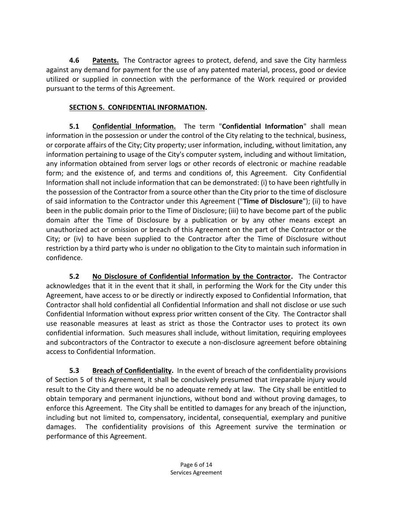**4.6 Patents.** The Contractor agrees to protect, defend, and save the City harmless against any demand for payment for the use of any patented material, process, good or device utilized or supplied in connection with the performance of the Work required or provided pursuant to the terms of this Agreement.

## **SECTION 5. CONFIDENTIAL INFORMATION.**

**5.1 Confidential Information.** The term "**Confidential Information**" shall mean information in the possession or under the control of the City relating to the technical, business, or corporate affairs of the City; City property; user information, including, without limitation, any information pertaining to usage of the City's computer system, including and without limitation, any information obtained from server logs or other records of electronic or machine readable form; and the existence of, and terms and conditions of, this Agreement. City Confidential Information shall not include information that can be demonstrated: (i) to have been rightfully in the possession of the Contractor from a source other than the City prior to the time of disclosure of said information to the Contractor under this Agreement ("**Time of Disclosure**"); (ii) to have been in the public domain prior to the Time of Disclosure; (iii) to have become part of the public domain after the Time of Disclosure by a publication or by any other means except an unauthorized act or omission or breach of this Agreement on the part of the Contractor or the City; or (iv) to have been supplied to the Contractor after the Time of Disclosure without restriction by a third party who is under no obligation to the City to maintain such information in confidence.

**5.2 No Disclosure of Confidential Information by the Contractor.** The Contractor acknowledges that it in the event that it shall, in performing the Work for the City under this Agreement, have access to or be directly or indirectly exposed to Confidential Information, that Contractor shall hold confidential all Confidential Information and shall not disclose or use such Confidential Information without express prior written consent of the City. The Contractor shall use reasonable measures at least as strict as those the Contractor uses to protect its own confidential information. Such measures shall include, without limitation, requiring employees and subcontractors of the Contractor to execute a non-disclosure agreement before obtaining access to Confidential Information.

**5.3 Breach of Confidentiality.** In the event of breach of the confidentiality provisions of Section 5 of this Agreement, it shall be conclusively presumed that irreparable injury would result to the City and there would be no adequate remedy at law. The City shall be entitled to obtain temporary and permanent injunctions, without bond and without proving damages, to enforce this Agreement. The City shall be entitled to damages for any breach of the injunction, including but not limited to, compensatory, incidental, consequential, exemplary and punitive damages. The confidentiality provisions of this Agreement survive the termination or performance of this Agreement.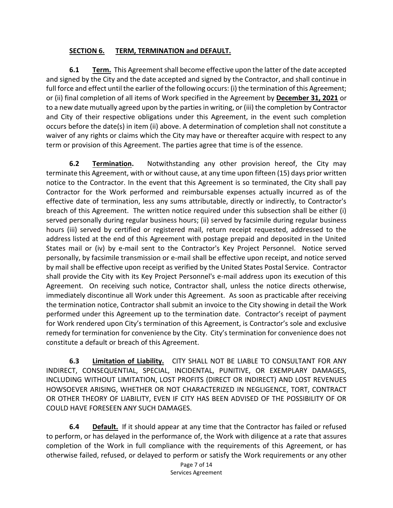### **SECTION 6. TERM, TERMINATION and DEFAULT.**

**6.1 Term.** This Agreement shall become effective upon the latter of the date accepted and signed by the City and the date accepted and signed by the Contractor, and shall continue in full force and effect until the earlier of the following occurs: (i) the termination of this Agreement; or (ii) final completion of all items of Work specified in the Agreement by **December 31, 2021** or to a new date mutually agreed upon by the parties in writing, or (iii) the completion by Contractor and City of their respective obligations under this Agreement, in the event such completion occurs before the date(s) in item (ii) above. A determination of completion shall not constitute a waiver of any rights or claims which the City may have or thereafter acquire with respect to any term or provision of this Agreement. The parties agree that time is of the essence.

**6.2 Termination.** Notwithstanding any other provision hereof, the City may terminate this Agreement, with or without cause, at any time upon fifteen (15) days prior written notice to the Contractor. In the event that this Agreement is so terminated, the City shall pay Contractor for the Work performed and reimbursable expenses actually incurred as of the effective date of termination, less any sums attributable, directly or indirectly, to Contractor's breach of this Agreement. The written notice required under this subsection shall be either (i) served personally during regular business hours; (ii) served by facsimile during regular business hours (iii) served by certified or registered mail, return receipt requested, addressed to the address listed at the end of this Agreement with postage prepaid and deposited in the United States mail or (iv) by e-mail sent to the Contractor's Key Project Personnel. Notice served personally, by facsimile transmission or e-mail shall be effective upon receipt, and notice served by mail shall be effective upon receipt as verified by the United States Postal Service. Contractor shall provide the City with its Key Project Personnel's e-mail address upon its execution of this Agreement. On receiving such notice, Contractor shall, unless the notice directs otherwise, immediately discontinue all Work under this Agreement. As soon as practicable after receiving the termination notice, Contractor shall submit an invoice to the City showing in detail the Work performed under this Agreement up to the termination date. Contractor's receipt of payment for Work rendered upon City's termination of this Agreement, is Contractor's sole and exclusive remedy for termination for convenience by the City. City's termination for convenience does not constitute a default or breach of this Agreement.

**6.3 Limitation of Liability.** CITY SHALL NOT BE LIABLE TO CONSULTANT FOR ANY INDIRECT, CONSEQUENTIAL, SPECIAL, INCIDENTAL, PUNITIVE, OR EXEMPLARY DAMAGES, INCLUDING WITHOUT LIMITATION, LOST PROFITS (DIRECT OR INDIRECT) AND LOST REVENUES HOWSOEVER ARISING, WHETHER OR NOT CHARACTERIZED IN NEGLIGENCE, TORT, CONTRACT OR OTHER THEORY OF LIABILITY, EVEN IF CITY HAS BEEN ADVISED OF THE POSSIBILITY OF OR COULD HAVE FORESEEN ANY SUCH DAMAGES.

**6.4 Default.** If it should appear at any time that the Contractor has failed or refused to perform, or has delayed in the performance of, the Work with diligence at a rate that assures completion of the Work in full compliance with the requirements of this Agreement, or has otherwise failed, refused, or delayed to perform or satisfy the Work requirements or any other

Page 7 of 14 Services Agreement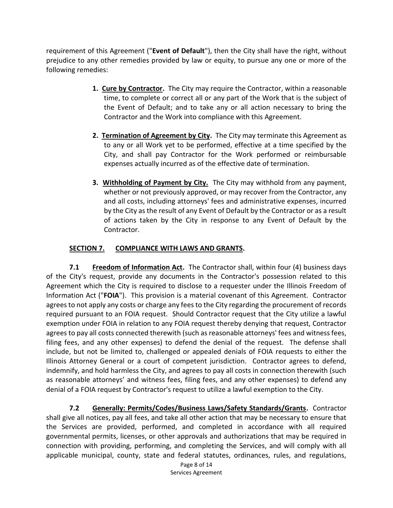requirement of this Agreement ("**Event of Default**"), then the City shall have the right, without prejudice to any other remedies provided by law or equity, to pursue any one or more of the following remedies:

- **1. Cure by Contractor.** The City may require the Contractor, within a reasonable time, to complete or correct all or any part of the Work that is the subject of the Event of Default; and to take any or all action necessary to bring the Contractor and the Work into compliance with this Agreement.
- **2. Termination of Agreement by City.** The City may terminate this Agreement as to any or all Work yet to be performed, effective at a time specified by the City, and shall pay Contractor for the Work performed or reimbursable expenses actually incurred as of the effective date of termination.
- **3. Withholding of Payment by City.** The City may withhold from any payment, whether or not previously approved, or may recover from the Contractor, any and all costs, including attorneys' fees and administrative expenses, incurred by the City as the result of any Event of Default by the Contractor or as a result of actions taken by the City in response to any Event of Default by the Contractor.

### **SECTION 7. COMPLIANCE WITH LAWS AND GRANTS.**

**7.1 Freedom of Information Act.** The Contractor shall, within four (4) business days of the City's request, provide any documents in the Contractor's possession related to this Agreement which the City is required to disclose to a requester under the Illinois Freedom of Information Act ("**FOIA**"). This provision is a material covenant of this Agreement. Contractor agrees to not apply any costs or charge any fees to the City regarding the procurement of records required pursuant to an FOIA request. Should Contractor request that the City utilize a lawful exemption under FOIA in relation to any FOIA request thereby denying that request, Contractor agrees to pay all costs connected therewith (such as reasonable attorneys' fees and witness fees, filing fees, and any other expenses) to defend the denial of the request. The defense shall include, but not be limited to, challenged or appealed denials of FOIA requests to either the Illinois Attorney General or a court of competent jurisdiction. Contractor agrees to defend, indemnify, and hold harmless the City, and agrees to pay all costs in connection therewith (such as reasonable attorneys' and witness fees, filing fees, and any other expenses) to defend any denial of a FOIA request by Contractor's request to utilize a lawful exemption to the City.

**7.2 Generally: Permits/Codes/Business Laws/Safety Standards/Grants.** Contractor shall give all notices, pay all fees, and take all other action that may be necessary to ensure that the Services are provided, performed, and completed in accordance with all required governmental permits, licenses, or other approvals and authorizations that may be required in connection with providing, performing, and completing the Services, and will comply with all applicable municipal, county, state and federal statutes, ordinances, rules, and regulations,

> Page 8 of 14 Services Agreement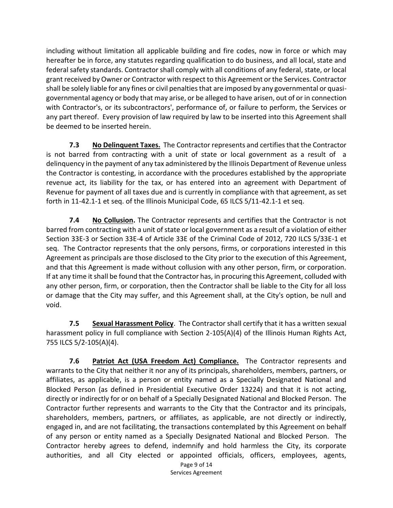including without limitation all applicable building and fire codes, now in force or which may hereafter be in force, any statutes regarding qualification to do business, and all local, state and federal safety standards. Contractor shall comply with all conditions of any federal, state, or local grant received by Owner or Contractor with respect to this Agreement or the Services. Contractor shall be solely liable for any fines or civil penalties that are imposed by any governmental or quasigovernmental agency or body that may arise, or be alleged to have arisen, out of or in connection with Contractor's, or its subcontractors', performance of, or failure to perform, the Services or any part thereof. Every provision of law required by law to be inserted into this Agreement shall be deemed to be inserted herein.

**7.3 No Delinquent Taxes.** The Contractor represents and certifies that the Contractor is not barred from contracting with a unit of state or local government as a result of a delinquency in the payment of any tax administered by the Illinois Department of Revenue unless the Contractor is contesting, in accordance with the procedures established by the appropriate revenue act, its liability for the tax, or has entered into an agreement with Department of Revenue for payment of all taxes due and is currently in compliance with that agreement, as set forth in 11-42.1-1 et seq. of the Illinois Municipal Code, 65 ILCS 5/11-42.1-1 et seq.

**7.4 No Collusion.** The Contractor represents and certifies that the Contractor is not barred from contracting with a unit of state or local government as a result of a violation of either Section 33E-3 or Section 33E-4 of Article 33E of the Criminal Code of 2012, 720 ILCS 5/33E-1 et seq. The Contractor represents that the only persons, firms, or corporations interested in this Agreement as principals are those disclosed to the City prior to the execution of this Agreement, and that this Agreement is made without collusion with any other person, firm, or corporation. If at any time it shall be found that the Contractor has, in procuring this Agreement, colluded with any other person, firm, or corporation, then the Contractor shall be liable to the City for all loss or damage that the City may suffer, and this Agreement shall, at the City's option, be null and void.

**7.5 Sexual Harassment Policy**. The Contractor shall certify that it has a written sexual harassment policy in full compliance with Section 2-105(A)(4) of the Illinois Human Rights Act, 755 ILCS 5/2-105(A)(4).

Page 9 of 14 **7.6 Patriot Act (USA Freedom Act) Compliance.** The Contractor represents and warrants to the City that neither it nor any of its principals, shareholders, members, partners, or affiliates, as applicable, is a person or entity named as a Specially Designated National and Blocked Person (as defined in Presidential Executive Order 13224) and that it is not acting, directly or indirectly for or on behalf of a Specially Designated National and Blocked Person. The Contractor further represents and warrants to the City that the Contractor and its principals, shareholders, members, partners, or affiliates, as applicable, are not directly or indirectly, engaged in, and are not facilitating, the transactions contemplated by this Agreement on behalf of any person or entity named as a Specially Designated National and Blocked Person. The Contractor hereby agrees to defend, indemnify and hold harmless the City, its corporate authorities, and all City elected or appointed officials, officers, employees, agents,

Services Agreement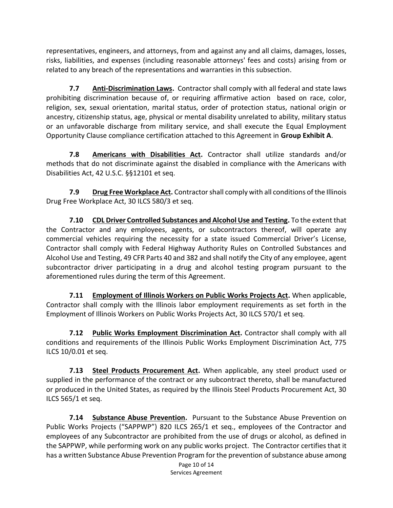representatives, engineers, and attorneys, from and against any and all claims, damages, losses, risks, liabilities, and expenses (including reasonable attorneys' fees and costs) arising from or related to any breach of the representations and warranties in this subsection.

**7.7 Anti-Discrimination Laws.** Contractor shall comply with all federal and state laws prohibiting discrimination because of, or requiring affirmative action based on race, color, religion, sex, sexual orientation, marital status, order of protection status, national origin or ancestry, citizenship status, age, physical or mental disability unrelated to ability, military status or an unfavorable discharge from military service, and shall execute the Equal Employment Opportunity Clause compliance certification attached to this Agreement in **Group Exhibit A**.

**7.8 Americans with Disabilities Act.** Contractor shall utilize standards and/or methods that do not discriminate against the disabled in compliance with the Americans with Disabilities Act, 42 U.S.C. §§12101 et seq.

**7.9 Drug Free Workplace Act.** Contractor shall comply with all conditions of the Illinois Drug Free Workplace Act, 30 ILCS 580/3 et seq.

**7.10 CDL Driver Controlled Substances and Alcohol Use and Testing.** To the extent that the Contractor and any employees, agents, or subcontractors thereof, will operate any commercial vehicles requiring the necessity for a state issued Commercial Driver's License, Contractor shall comply with Federal Highway Authority Rules on Controlled Substances and Alcohol Use and Testing, 49 CFR Parts 40 and 382 and shall notify the City of any employee, agent subcontractor driver participating in a drug and alcohol testing program pursuant to the aforementioned rules during the term of this Agreement.

**7.11 Employment of Illinois Workers on Public Works Projects Act.** When applicable, Contractor shall comply with the Illinois labor employment requirements as set forth in the Employment of Illinois Workers on Public Works Projects Act, 30 ILCS 570/1 et seq.

**7.12 Public Works Employment Discrimination Act.** Contractor shall comply with all conditions and requirements of the Illinois Public Works Employment Discrimination Act, 775 ILCS 10/0.01 et seq.

**7.13 Steel Products Procurement Act.** When applicable, any steel product used or supplied in the performance of the contract or any subcontract thereto, shall be manufactured or produced in the United States, as required by the Illinois Steel Products Procurement Act, 30 ILCS 565/1 et seq.

**7.14 Substance Abuse Prevention.** Pursuant to the Substance Abuse Prevention on Public Works Projects ("SAPPWP") 820 ILCS 265/1 et seq., employees of the Contractor and employees of any Subcontractor are prohibited from the use of drugs or alcohol, as defined in the SAPPWP, while performing work on any public works project. The Contractor certifies that it has a written Substance Abuse Prevention Program for the prevention of substance abuse among

Page 10 of 14 Services Agreement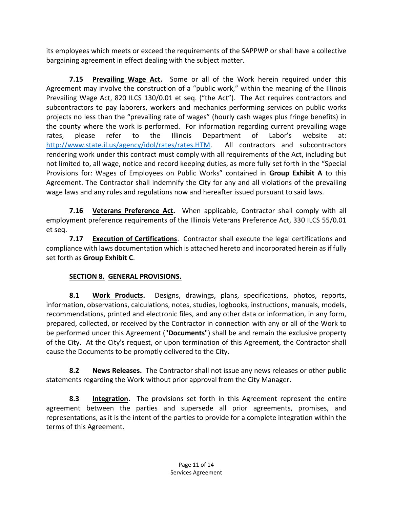its employees which meets or exceed the requirements of the SAPPWP or shall have a collective bargaining agreement in effect dealing with the subject matter.

**7.15 Prevailing Wage Act.** Some or all of the Work herein required under this Agreement may involve the construction of a "public work," within the meaning of the Illinois Prevailing Wage Act, 820 ILCS 130/0.01 et seq. ("the Act"). The Act requires contractors and subcontractors to pay laborers, workers and mechanics performing services on public works projects no less than the "prevailing rate of wages" (hourly cash wages plus fringe benefits) in the county where the work is performed. For information regarding current prevailing wage rates, please refer to the Illinois Department of Labor's website at: [http://www.state.il.us/agency/idol/rates/rates.HTM.](http://www.state.il.us/agency/idol/rates/rates.HTM) All contractors and subcontractors rendering work under this contract must comply with all requirements of the Act, including but not limited to, all wage, notice and record keeping duties, as more fully set forth in the "Special Provisions for: Wages of Employees on Public Works" contained in **Group Exhibit A** to this Agreement. The Contractor shall indemnify the City for any and all violations of the prevailing wage laws and any rules and regulations now and hereafter issued pursuant to said laws.

**7.16 Veterans Preference Act.** When applicable, Contractor shall comply with all employment preference requirements of the Illinois Veterans Preference Act, 330 ILCS 55/0.01 et seq.

**7.17 Execution of Certifications**. Contractor shall execute the legal certifications and compliance with laws documentation which is attached hereto and incorporated herein as if fully set forth as **Group Exhibit C**.

# **SECTION 8. GENERAL PROVISIONS.**

**8.1 Work Products.** Designs, drawings, plans, specifications, photos, reports, information, observations, calculations, notes, studies, logbooks, instructions, manuals, models, recommendations, printed and electronic files, and any other data or information, in any form, prepared, collected, or received by the Contractor in connection with any or all of the Work to be performed under this Agreement ("**Documents**") shall be and remain the exclusive property of the City. At the City's request, or upon termination of this Agreement, the Contractor shall cause the Documents to be promptly delivered to the City.

**8.2 News Releases.** The Contractor shall not issue any news releases or other public statements regarding the Work without prior approval from the City Manager.

**8.3 Integration.** The provisions set forth in this Agreement represent the entire agreement between the parties and supersede all prior agreements, promises, and representations, as it is the intent of the parties to provide for a complete integration within the terms of this Agreement.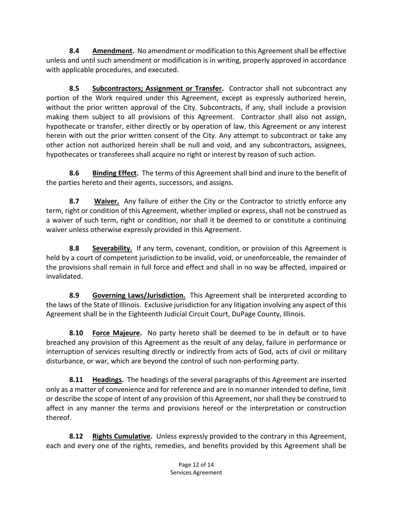**8.4 Amendment.** No amendment or modification to this Agreement shall be effective unless and until such amendment or modification is in writing, properly approved in accordance with applicable procedures, and executed.

**8.5 Subcontractors; Assignment or Transfer.** Contractor shall not subcontract any portion of the Work required under this Agreement, except as expressly authorized herein, without the prior written approval of the City. Subcontracts, if any, shall include a provision making them subject to all provisions of this Agreement. Contractor shall also not assign, hypothecate or transfer, either directly or by operation of law, this Agreement or any interest herein with out the prior written consent of the City. Any attempt to subcontract or take any other action not authorized herein shall be null and void, and any subcontractors, assignees, hypothecates or transferees shall acquire no right or interest by reason of such action.

**8.6 Binding Effect.** The terms of this Agreement shall bind and inure to the benefit of the parties hereto and their agents, successors, and assigns.

**8.7 Waiver.** Any failure of either the City or the Contractor to strictly enforce any term, right or condition of this Agreement, whether implied or express, shall not be construed as a waiver of such term, right or condition, nor shall it be deemed to or constitute a continuing waiver unless otherwise expressly provided in this Agreement.

**8.8 Severability.** If any term, covenant, condition, or provision of this Agreement is held by a court of competent jurisdiction to be invalid, void, or unenforceable, the remainder of the provisions shall remain in full force and effect and shall in no way be affected, impaired or invalidated.

**8.9 Governing Laws/Jurisdiction.** This Agreement shall be interpreted according to the laws of the State of Illinois. Exclusive jurisdiction for any litigation involving any aspect of this Agreement shall be in the Eighteenth Judicial Circuit Court, DuPage County, Illinois.

**8.10 Force Majeure.** No party hereto shall be deemed to be in default or to have breached any provision of this Agreement as the result of any delay, failure in performance or interruption of services resulting directly or indirectly from acts of God, acts of civil or military disturbance, or war, which are beyond the control of such non-performing party.

**8.11 Headings.** The headings of the several paragraphs of this Agreement are inserted only as a matter of convenience and for reference and are in no manner intended to define, limit or describe the scope of intent of any provision of this Agreement, nor shall they be construed to affect in any manner the terms and provisions hereof or the interpretation or construction thereof.

**8.12 Rights Cumulative.** Unless expressly provided to the contrary in this Agreement, each and every one of the rights, remedies, and benefits provided by this Agreement shall be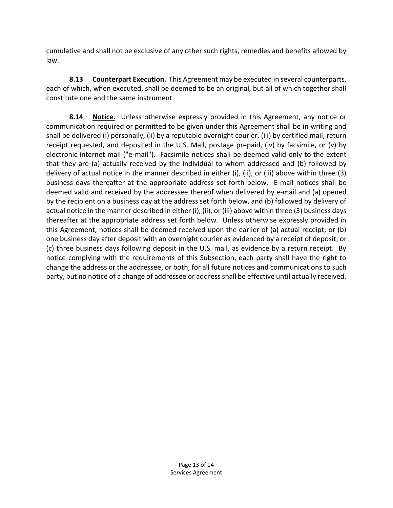cumulative and shall not be exclusive of any other such rights, remedies and benefits allowed by law.

**8.13 Counterpart Execution.** This Agreement may be executed in several counterparts, each of which, when executed, shall be deemed to be an original, but all of which together shall constitute one and the same instrument.

**8.14 Notice.** Unless otherwise expressly provided in this Agreement, any notice or communication required or permitted to be given under this Agreement shall be in writing and shall be delivered (i) personally, (ii) by a reputable overnight courier, (iii) by certified mail, return receipt requested, and deposited in the U.S. Mail, postage prepaid, (iv) by facsimile, or (v) by electronic internet mail ("e-mail"). Facsimile notices shall be deemed valid only to the extent that they are (a) actually received by the individual to whom addressed and (b) followed by delivery of actual notice in the manner described in either (i), (ii), or (iii) above within three (3) business days thereafter at the appropriate address set forth below. E-mail notices shall be deemed valid and received by the addressee thereof when delivered by e-mail and (a) opened by the recipient on a business day at the address set forth below, and (b) followed by delivery of actual notice in the manner described in either (i), (ii), or (iii) above within three (3) business days thereafter at the appropriate address set forth below. Unless otherwise expressly provided in this Agreement, notices shall be deemed received upon the earlier of (a) actual receipt; or (b) one business day after deposit with an overnight courier as evidenced by a receipt of deposit; or (c) three business days following deposit in the U.S. mail, as evidence by a return receipt. By notice complying with the requirements of this Subsection, each party shall have the right to change the address or the addressee, or both, for all future notices and communications to such party, but no notice of a change of addressee or address shall be effective until actually received.